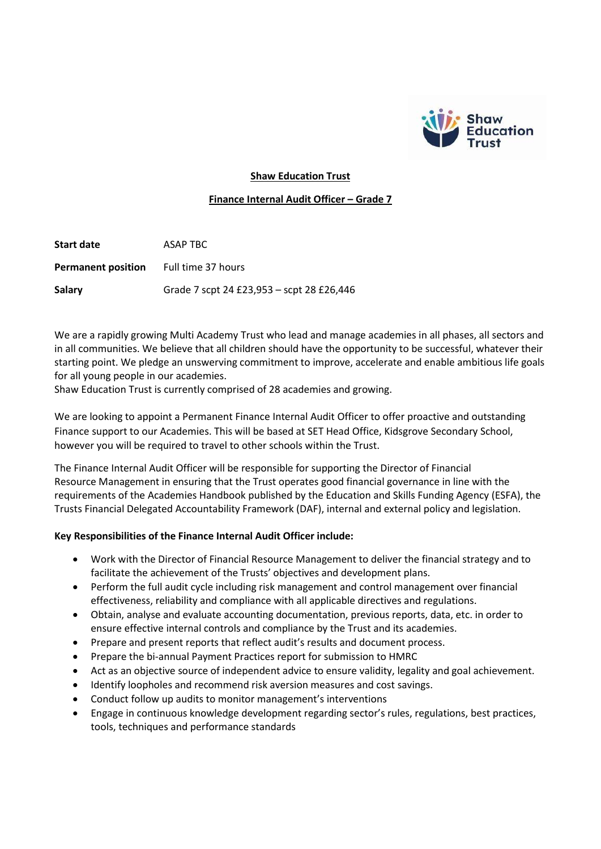

## **Shaw Education Trust**

### **Finance Internal Audit Officer – Grade 7**

| Start date                | ASAP TBC                                  |
|---------------------------|-------------------------------------------|
| <b>Permanent position</b> | Full time 37 hours                        |
| Salary                    | Grade 7 scpt 24 £23,953 – scpt 28 £26,446 |

We are a rapidly growing Multi Academy Trust who lead and manage academies in all phases, all sectors and in all communities. We believe that all children should have the opportunity to be successful, whatever their starting point. We pledge an unswerving commitment to improve, accelerate and enable ambitious life goals for all young people in our academies.

Shaw Education Trust is currently comprised of 28 academies and growing.

We are looking to appoint a Permanent Finance Internal Audit Officer to offer proactive and outstanding Finance support to our Academies. This will be based at SET Head Office, Kidsgrove Secondary School, however you will be required to travel to other schools within the Trust.

The Finance Internal Audit Officer will be responsible for supporting the Director of Financial Resource Management in ensuring that the Trust operates good financial governance in line with the requirements of the Academies Handbook published by the Education and Skills Funding Agency (ESFA), the Trusts Financial Delegated Accountability Framework (DAF), internal and external policy and legislation.

## **Key Responsibilities of the Finance Internal Audit Officer include:**

- Work with the Director of Financial Resource Management to deliver the financial strategy and to facilitate the achievement of the Trusts' objectives and development plans.
- Perform the full audit cycle including risk management and control management over financial effectiveness, reliability and compliance with all applicable directives and regulations.
- Obtain, analyse and evaluate accounting documentation, previous reports, data, etc. in order to ensure effective internal controls and compliance by the Trust and its academies.
- Prepare and present reports that reflect audit's results and document process.
- Prepare the bi-annual Payment Practices report for submission to HMRC
- Act as an objective source of independent advice to ensure validity, legality and goal achievement.
- Identify loopholes and recommend risk aversion measures and cost savings.
- Conduct follow up audits to monitor management's interventions
- Engage in continuous knowledge development regarding sector's rules, regulations, best practices, tools, techniques and performance standards